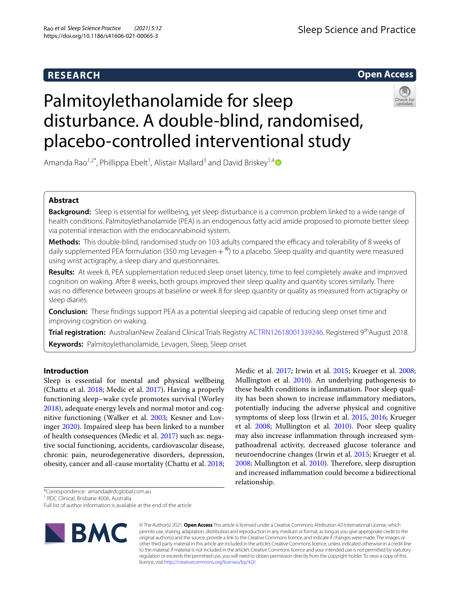# **RESEARCH**



# Palmitoylethanolamide for sleep disturbance. A double-blind, randomised, placebo-controlled interventional study



Amanda Rao<sup>1,2\*</sup>, Phillippa Ebelt<sup>1</sup>, Alistair Mallard<sup>3</sup> and David Briskey<sup>1,[4](http://orcid.org/0000-0001-9867-6700)</sup>

# **Abstract**

**Background:** Sleep is essential for wellbeing, yet sleep disturbance is a common problem linked to a wide range of health conditions. Palmitoylethanolamide (PEA) is an endogenous fatty acid amide proposed to promote better sleep via potential interaction with the endocannabinoid system.

**Methods:** This double-blind, randomised study on 103 adults compared the efficacy and tolerability of 8 weeks of daily supplemented PEA formulation (350 mg Levagen  $+$ <sup>®</sup>) to a placebo. Sleep quality and quantity were measured using wrist actigraphy, a sleep diary and questionnaires.

**Results:** At week 8, PEA supplementation reduced sleep onset latency, time to feel completely awake and improved cognition on waking. After 8 weeks, both groups improved their sleep quality and quantity scores similarly. There was no diference between groups at baseline or week 8 for sleep quantity or quality as measured from actigraphy or sleep diaries.

**Conclusion:** These fndings support PEA as a potential sleeping aid capable of reducing sleep onset time and improving cognition on waking.

Trial registration: AustralianNew Zealand Clinical Trials Registry [ACTRN12618001339246](http://www.anzctr.org.au/Trial/Registration/TrialReview.aspx?id=375493&isReview=true). Registered 9<sup>th</sup>August 2018. **Keywords:** Palmitoylethanolamide, Levagen, Sleep, Sleep onset

# **Introduction**

Sleep is essential for mental and physical wellbeing (Chattu et al. [2018;](#page-6-0) Medic et al. [2017\)](#page-7-0). Having a properly functioning sleep–wake cycle promotes survival (Worley [2018](#page-7-1)), adequate energy levels and normal motor and cognitive functioning (Walker et al. [2003;](#page-7-2) Kesner and Lovinger [2020](#page-6-1)). Impaired sleep has been linked to a number of health consequences (Medic et al. [2017](#page-7-0)) such as: negative social functioning, accidents, cardiovascular disease, chronic pain, neurodegenerative disorders, depression, obesity, cancer and all-cause mortality (Chattu et al. [2018](#page-6-0); Medic et al. [2017](#page-7-0); Irwin et al. [2015](#page-6-2); Krueger et al. [2008](#page-7-3); Mullington et al. [2010](#page-7-4)). An underlying pathogenesis to these health conditions is infammation. Poor sleep quality has been shown to increase infammatory mediators, potentially inducing the adverse physical and cognitive symptoms of sleep loss (Irwin et al. [2015](#page-6-2), [2016](#page-7-5); Krueger et al. [2008;](#page-7-3) Mullington et al. [2010](#page-7-4)). Poor sleep quality may also increase infammation through increased sympathoadrenal activity, decreased glucose tolerance and neuroendocrine changes (Irwin et al. [2015](#page-6-2); Krueger et al. [2008](#page-7-3); Mullington et al. [2010\)](#page-7-4). Therefore, sleep disruption and increased infammation could become a bidirectional relationship.

\*Correspondence: amanda@rdcglobal.com.au

1 RDC Clinical, Brisbane 4006, Australia

Full list of author information is available at the end of the article



© The Author(s) 2021. **Open Access** This article is licensed under a Creative Commons Attribution 4.0 International License, which permits use, sharing, adaptation, distribution and reproduction in any medium or format, as long as you give appropriate credit to the original author(s) and the source, provide a link to the Creative Commons licence, and indicate if changes were made. The images or other third party material in this article are included in the article's Creative Commons licence, unless indicated otherwise in a credit line to the material. If material is not included in the article's Creative Commons licence and your intended use is not permitted by statutory regulation or exceeds the permitted use, you will need to obtain permission directly from the copyright holder. To view a copy of this licence, visit [http://creativecommons.org/licenses/by/4.0/.](http://creativecommons.org/licenses/by/4.0/)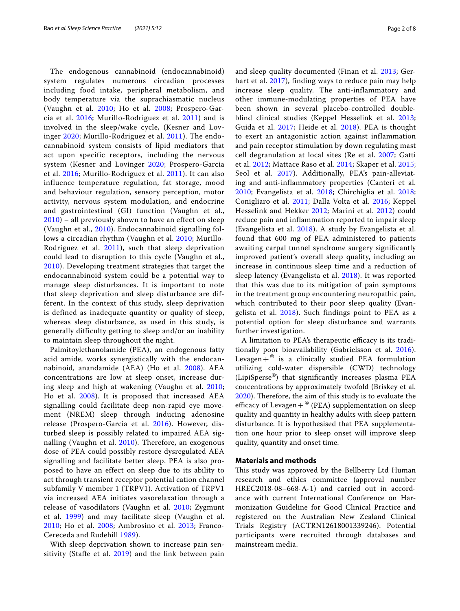The endogenous cannabinoid (endocannabinoid) system regulates numerous circadian processes including food intake, peripheral metabolism, and body temperature via the suprachiasmatic nucleus (Vaughn et al. [2010;](#page-7-6) Ho et al. [2008;](#page-6-3) Prospero-Garcia et al. [2016](#page-7-7); Murillo-Rodriguez et al. [2011\)](#page-7-8) and is involved in the sleep/wake cycle, (Kesner and Lovinger [2020;](#page-6-1) Murillo-Rodriguez et al. [2011\)](#page-7-8). The endocannabinoid system consists of lipid mediators that act upon specific receptors, including the nervous system (Kesner and Lovinger [2020](#page-6-1); Prospero-Garcia et al. [2016;](#page-7-7) Murillo-Rodriguez et al. [2011](#page-7-8)). It can also influence temperature regulation, fat storage, mood and behaviour regulation, sensory perception, motor activity, nervous system modulation, and endocrine and gastrointestinal (GI) function (Vaughn et al., [2010](#page-7-6)) – all previously shown to have an effect on sleep (Vaughn et al., [2010\)](#page-7-6). Endocannabinoid signalling follows a circadian rhythm (Vaughn et al. [2010;](#page-7-6) Murillo-Rodriguez et al. [2011](#page-7-8)), such that sleep deprivation could lead to disruption to this cycle (Vaughn et al., [2010](#page-7-6)). Developing treatment strategies that target the endocannabinoid system could be a potential way to manage sleep disturbances. It is important to note that sleep deprivation and sleep disturbance are different. In the context of this study, sleep deprivation is defined as inadequate quantity or quality of sleep, whereas sleep disturbance, as used in this study, is generally difficulty getting to sleep and/or an inability to maintain sleep throughout the night.

Palmitoylethanolamide (PEA), an endogenous fatty acid amide, works synergistically with the endocannabinoid, anandamide (AEA) (Ho et al. [2008\)](#page-6-3). AEA concentrations are low at sleep onset, increase during sleep and high at wakening (Vaughn et al. [2010](#page-7-6); Ho et al. [2008](#page-6-3)). It is proposed that increased AEA signalling could facilitate deep non-rapid eye movement (NREM) sleep through inducing adenosine release (Prospero-Garcia et al. [2016\)](#page-7-7). However, disturbed sleep is possibly related to impaired AEA signalling (Vaughn et al. [2010\)](#page-7-6). Therefore, an exogenous dose of PEA could possibly restore dysregulated AEA signalling and facilitate better sleep. PEA is also proposed to have an effect on sleep due to its ability to act through transient receptor potential cation channel subfamily V member 1 (TRPV1). Activation of TRPV1 via increased AEA initiates vasorelaxation through a release of vasodilators (Vaughn et al. [2010;](#page-7-6) Zygmunt et al. [1999](#page-7-9)) and may facilitate sleep (Vaughn et al. [2010](#page-7-6); Ho et al. [2008;](#page-6-3) Ambrosino et al. [2013](#page-6-4); Franco-Cereceda and Rudehill [1989\)](#page-6-5).

With sleep deprivation shown to increase pain sensitivity (Staffe et al. [2019](#page-6-6)) and the link between pain and sleep quality documented (Finan et al. [2013](#page-6-7); Gerhart et al. [2017\)](#page-6-8), finding ways to reduce pain may help increase sleep quality. The anti-inflammatory and other immune-modulating properties of PEA have been shown in several placebo-controlled doubleblind clinical studies (Keppel Hesselink et al. [2013](#page-7-10); Guida et al. [2017;](#page-6-7) Heide et al. [2018](#page-6-9)). PEA is thought to exert an antagonistic action against inflammation and pain receptor stimulation by down regulating mast cell degranulation at local sites (Re et al. [2007;](#page-7-11) Gatti et al. [2012](#page-6-5); Mattace Raso et al. [2014](#page-7-12); Skaper et al. [2015](#page-7-13); Seol et al. [2017\)](#page-7-14). Additionally, PEA's pain-alleviating and anti-inflammatory properties (Canteri et al. [2010](#page-7-15); Evangelista et al. [2018;](#page-6-10) Chirchiglia et al. [2018](#page-6-11); Conigliaro et al. [2011](#page-6-12); Dalla Volta et al. [2016;](#page-6-13) Keppel Hesselink and Hekker [2012;](#page-7-0) Marini et al. [2012](#page-7-16)) could reduce pain and inflammation reported to impair sleep (Evangelista et al. [2018](#page-6-10)). A study by Evangelista et al. found that 600 mg of PEA administered to patients awaiting carpal tunnel syndrome surgery significantly improved patient's overall sleep quality, including an increase in continuous sleep time and a reduction of sleep latency (Evangelista et al. [2018](#page-6-10)). It was reported that this was due to its mitigation of pain symptoms in the treatment group encountering neuropathic pain, which contributed to their poor sleep quality (Evangelista et al. [2018](#page-6-10)). Such findings point to PEA as a potential option for sleep disturbance and warrants further investigation.

A limitation to PEA's therapeutic efficacy is its traditionally poor bioavailability (Gabrielsson et al. [2016](#page-6-14)). Levagen $+$ <sup>®</sup> is a clinically studied PEA formulation utilizing cold-water dispersible (CWD) technology (LipiSperse®) that signifcantly increases plasma PEA concentrations by approximately twofold (Briskey et al. [2020\)](#page-7-4). Therefore, the aim of this study is to evaluate the efficacy of Levagen + ® (PEA) supplementation on sleep quality and quantity in healthy adults with sleep pattern disturbance. It is hypothesised that PEA supplementation one hour prior to sleep onset will improve sleep quality, quantity and onset time.

# **Materials and methods**

This study was approved by the Bellberry Ltd Human research and ethics committee (approval number HREC2018-08–668-A-1) and carried out in accordance with current International Conference on Harmonization Guideline for Good Clinical Practice and registered on the Australian New Zealand Clinical Trials Registry (ACTRN12618001339246). Potential participants were recruited through databases and mainstream media.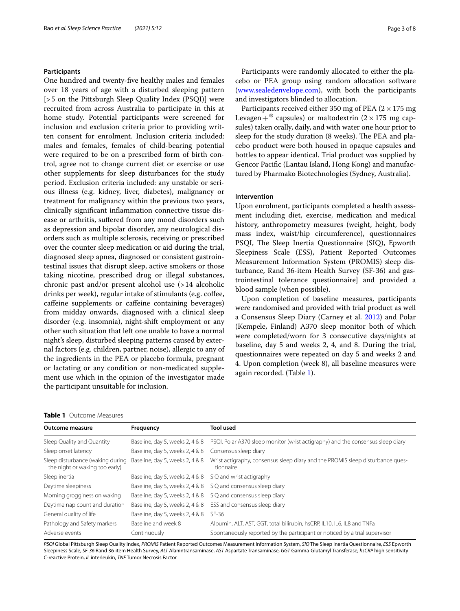# **Participants**

One hundred and twenty-fve healthy males and females over 18 years of age with a disturbed sleeping pattern [>5 on the Pittsburgh Sleep Quality Index (PSQI)] were recruited from across Australia to participate in this at home study. Potential participants were screened for inclusion and exclusion criteria prior to providing written consent for enrolment. Inclusion criteria included: males and females, females of child-bearing potential were required to be on a prescribed form of birth control, agree not to change current diet or exercise or use other supplements for sleep disturbances for the study period. Exclusion criteria included: any unstable or serious illness (e.g. kidney, liver, diabetes), malignancy or treatment for malignancy within the previous two years, clinically signifcant infammation connective tissue disease or arthritis, sufered from any mood disorders such as depression and bipolar disorder, any neurological disorders such as multiple sclerosis, receiving or prescribed over the counter sleep medication or aid during the trial, diagnosed sleep apnea, diagnosed or consistent gastrointestinal issues that disrupt sleep, active smokers or those taking nicotine, prescribed drug or illegal substances, chronic past and/or present alcohol use (>14 alcoholic drinks per week), regular intake of stimulants (e.g. coffee, cafeine supplements or cafeine containing beverages) from midday onwards, diagnosed with a clinical sleep disorder (e.g. insomnia), night-shift employment or any other such situation that left one unable to have a normal night's sleep, disturbed sleeping patterns caused by external factors (e.g. children, partner, noise), allergic to any of the ingredients in the PEA or placebo formula, pregnant or lactating or any condition or non-medicated supplement use which in the opinion of the investigator made the participant unsuitable for inclusion.

Participants were randomly allocated to either the placebo or PEA group using random allocation software ([www.sealedenvelope.com](http://www.sealedenvelope.com)), with both the participants and investigators blinded to allocation.

Participants received either 350 mg of PEA ( $2 \times 175$  mg Levagen +  $^{\circ}$  capsules) or maltodextrin (2 × 175 mg capsules) taken orally, daily, and with water one hour prior to sleep for the study duration (8 weeks). The PEA and placebo product were both housed in opaque capsules and bottles to appear identical. Trial product was supplied by Gencor Pacifc (Lantau Island, Hong Kong) and manufactured by Pharmako Biotechnologies (Sydney, Australia).

## **Intervention**

Upon enrolment, participants completed a health assessment including diet, exercise, medication and medical history, anthropometry measures (weight, height, body mass index, waist/hip circumference), questionnaires PSQI, The Sleep Inertia Questionnaire (SIQ), Epworth Sleepiness Scale (ESS), Patient Reported Outcomes Measurement Information System (PROMIS) sleep disturbance, Rand 36-item Health Survey (SF-36) and gastrointestinal tolerance questionnaire] and provided a blood sample (when possible).

Upon completion of baseline measures, participants were randomised and provided with trial product as well a Consensus Sleep Diary (Carney et al. [2012\)](#page-6-15) and Polar (Kempele, Finland) A370 sleep monitor both of which were completed/worn for 3 consecutive days/nights at baseline, day 5 and weeks 2, 4, and 8. During the trial, questionnaires were repeated on day 5 and weeks 2 and 4. Upon completion (week 8), all baseline measures were again recorded. (Table [1\)](#page-2-0).

<span id="page-2-0"></span>

| <b>Table 1</b> Outcome Measures |  |
|---------------------------------|--|
|---------------------------------|--|

| <b>Outcome measure</b>                                             | Frequency                       | <b>Tool used</b>                                                                            |
|--------------------------------------------------------------------|---------------------------------|---------------------------------------------------------------------------------------------|
| Sleep Quality and Quantity                                         | Baseline, day 5, weeks 2, 4 & 8 | PSQI, Polar A370 sleep monitor (wrist actigraphy) and the consensus sleep diary             |
| Sleep onset latency                                                | Baseline, day 5, weeks 2, 4 & 8 | Consensus sleep diary                                                                       |
| Sleep disturbance (waking during<br>the night or waking too early) | Baseline, day 5, weeks 2, 4 & 8 | Wrist actigraphy, consensus sleep diary and the PROMIS sleep disturbance ques-<br>tionnaire |
| Sleep inertia                                                      | Baseline, day 5, weeks 2, 4 & 8 | SIQ and wrist actigraphy                                                                    |
| Daytime sleepiness                                                 | Baseline, day 5, weeks 2, 4 & 8 | SIQ and consensus sleep diary                                                               |
| Morning grogginess on waking                                       | Baseline, day 5, weeks 2, 4 & 8 | SIQ and consensus sleep diary                                                               |
| Daytime nap count and duration                                     | Baseline, day 5, weeks 2, 4 & 8 | ESS and consensus sleep diary                                                               |
| General quality of life                                            | Baseline, day 5, weeks 2, 4 & 8 | $SF-36$                                                                                     |
| Pathology and Safety markers                                       | Baseline and week 8             | Albumin, ALT, AST, GGT, total bilirubin, hsCRP, IL10, IL6, IL8 and TNFa                     |
| Adverse events                                                     | Continuously                    | Spontaneously reported by the participant or noticed by a trial supervisor                  |

*PSQI* Global Pittsburgh Sleep Quality Index, *PROMIS* Patient Reported Outcomes Measurement Information System, *SIQ* The Sleep Inertia Questionnaire, *ESS* Epworth Sleepiness Scale, *SF-36* Rand 36-item Health Survey, *ALT* Alanintransaminase, *AST* Aspartate Transaminase, *GGT* Gamma-Glutamyl Transferase, *hsCRP* high sensitivity C-reactive Protein, *IL* interleukin, *TNF* Tumor Necrosis Factor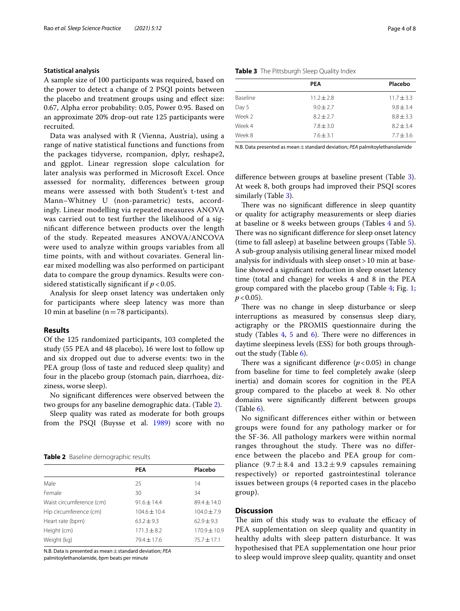#### **Statistical analysis**

A sample size of 100 participants was required, based on the power to detect a change of 2 PSQI points between the placebo and treatment groups using and efect size: 0.67, Alpha error probability: 0.05, Power 0.95. Based on an approximate 20% drop-out rate 125 participants were recruited.

Data was analysed with R (Vienna, Austria), using a range of native statistical functions and functions from the packages tidyverse, rcompanion, dplyr, reshape2, and ggplot. Linear regression slope calculation for later analysis was performed in Microsoft Excel. Once assessed for normality, diferences between group means were assessed with both Student's t-test and Mann–Whitney U (non-parametric) tests, accordingly. Linear modelling via repeated measures ANOVA was carried out to test further the likelihood of a signifcant diference between products over the length of the study. Repeated measures ANOVA/ANCOVA were used to analyze within groups variables from all time points, with and without covariates. General linear mixed modelling was also performed on participant data to compare the group dynamics. Results were considered statistically signifcant if *p* < 0.05.

Analysis for sleep onset latency was undertaken only for participants where sleep latency was more than 10 min at baseline ( $n=78$  participants).

# **Results**

Of the 125 randomized participants, 103 completed the study (55 PEA and 48 placebo), 16 were lost to follow up and six dropped out due to adverse events: two in the PEA group (loss of taste and reduced sleep quality) and four in the placebo group (stomach pain, diarrhoea, dizziness, worse sleep).

No signifcant diferences were observed between the two groups for any baseline demographic data. (Table [2](#page-3-0)).

Sleep quality was rated as moderate for both groups from the PSQI (Buysse et al. [1989\)](#page-7-8) score with no

<span id="page-3-0"></span>**Table 2** Baseline demographic results

|                          | PEA              | Placebo          |
|--------------------------|------------------|------------------|
| Male                     | 25               | 14               |
| Female                   | 30               | 34               |
| Waist circumference (cm) | $91.6 \pm 14.4$  | $89.4 \pm 14.0$  |
| Hip circumference (cm)   | $104.6 \pm 10.4$ | $104.0 \pm 7.9$  |
| Heart rate (bpm)         | $63.2 \pm 9.3$   | $62.9 \pm 9.3$   |
| Height (cm)              | $171.3 \pm 8.2$  | $170.9 \pm 10.9$ |
| Weight (kg)              | $79.4 \pm 17.6$  | $75.7 \pm 17.1$  |

N.B. Data is presented as mean±standard deviation; *PEA*

palmitoylethanolamide, *bpm* beats per minute

<span id="page-3-1"></span>

|  | Table 3 The Pittsburgh Sleep Quality Index |  |  |  |
|--|--------------------------------------------|--|--|--|
|--|--------------------------------------------|--|--|--|

|          | <b>PEA</b>   | Placebo        |
|----------|--------------|----------------|
| Baseline | $11.2 + 2.8$ | $11.7 \pm 3.3$ |
| Day 5    | $9.0 + 2.7$  | $9.8 \pm 3.4$  |
| Week 2   | $8.2 + 2.7$  | $8.8 \pm 3.3$  |
| Week 4   | $7.8 + 3.0$  | $8.2 + 3.4$    |
| Week 8   | $7.6 + 3.1$  | $7.7 \pm 3.6$  |
|          |              |                |

N.B. Data presented as mean±standard deviation; *PEA* palmitoylethanolamide

diference between groups at baseline present (Table [3](#page-3-1)). At week 8, both groups had improved their PSQI scores similarly (Table [3\)](#page-3-1).

There was no significant difference in sleep quantity or quality for actigraphy measurements or sleep diaries at baseline or 8 weeks between groups (Tables [4](#page-4-0) and [5](#page-4-1)). There was no significant difference for sleep onset latency (time to fall asleep) at baseline between groups (Table [5](#page-4-1)). A sub-group analysis utilising general linear mixed model analysis for individuals with sleep onset>10 min at baseline showed a signifcant reduction in sleep onset latency time (total and change) for weeks 4 and 8 in the PEA group compared with the placebo group (Table  $4$ ; Fig. [1](#page-5-0);  $p < 0.05$ ).

There was no change in sleep disturbance or sleep interruptions as measured by consensus sleep diary, actigraphy or the PROMIS questionnaire during the study (Tables  $4, 5$  $4, 5$  and  $6$ ). There were no differences in daytime sleepiness levels (ESS) for both groups throughout the study (Table [6](#page-5-1)).

There was a significant difference  $(p < 0.05)$  in change from baseline for time to feel completely awake (sleep inertia) and domain scores for cognition in the PEA group compared to the placebo at week 8. No other domains were signifcantly diferent between groups  $(Table 6)$  $(Table 6)$ .

No significant differences either within or between groups were found for any pathology marker or for the SF-36. All pathology markers were within normal ranges throughout the study. There was no difference between the placebo and PEA group for compliance  $(9.7 \pm 8.4$  and  $13.2 \pm 9.9$  capsules remaining respectively) or reported gastrointestinal tolerance issues between groups (4 reported cases in the placebo group).

# **Discussion**

The aim of this study was to evaluate the efficacy of PEA supplementation on sleep quality and quantity in healthy adults with sleep pattern disturbance. It was hypothesised that PEA supplementation one hour prior to sleep would improve sleep quality, quantity and onset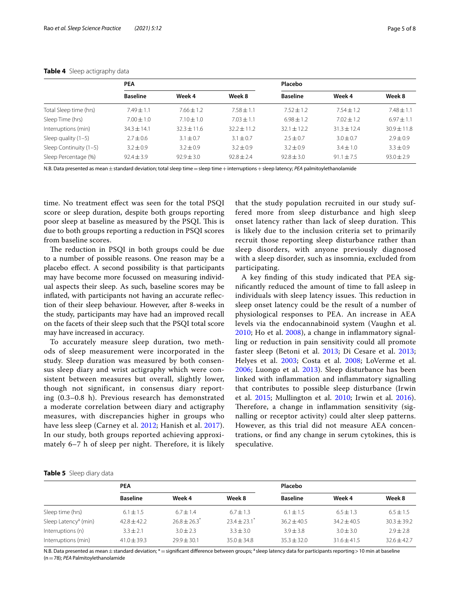|                        | <b>PEA</b>      |                 |                 | Placebo         |                 |                 |
|------------------------|-----------------|-----------------|-----------------|-----------------|-----------------|-----------------|
|                        | <b>Baseline</b> | Week 4          | Week 8          | <b>Baseline</b> | Week 4          | Week 8          |
| Total Sleep time (hrs) | $7.49 + 1.1$    | $7.66 \pm 1.2$  | $7.58 + 1.1$    | $7.52 \pm 1.2$  | $7.54 + 1.2$    | $7.48 \pm 1.1$  |
| Sleep Time (hrs)       | $7.00 \pm 1.0$  | $7.10 \pm 1.0$  | $7.03 + 1.1$    | $6.98 \pm 1.2$  | $7.02 + 1.2$    | $6.97 + 1.1$    |
| Interruptions (min)    | $34.3 \pm 14.1$ | $32.3 \pm 11.6$ | $32.2 \pm 11.2$ | $32.1 \pm 12.2$ | $31.3 \pm 12.4$ | $30.9 \pm 11.8$ |
| Sleep quality $(1-5)$  | $2.7 \pm 0.6$   | $3.1 \pm 0.7$   | $3.1 \pm 0.7$   | $2.5 \pm 0.7$   | $3.0 \pm 0.7$   | $2.9 \pm 0.9$   |
| Sleep Continuity (1-5) | $3.2 + 0.9$     | $3.2 + 0.9$     | $3.2 + 0.9$     | $3.2 \pm 0.9$   | $3.4 + 1.0$     | $3.3 \pm 0.9$   |
| Sleep Percentage (%)   | $92.4 + 3.9$    | $92.9 + 3.0$    | $92.8 + 2.4$    | $92.8 \pm 3.0$  | $91.1 \pm 7.5$  | $93.0 + 2.9$    |

<span id="page-4-0"></span>

N.B. Data presented as mean±standard deviation; total sleep time=sleep time+interruptions+sleep latency; *PEA* palmitoylethanolamide

time. No treatment efect was seen for the total PSQI score or sleep duration, despite both groups reporting poor sleep at baseline as measured by the PSQI. This is due to both groups reporting a reduction in PSQI scores from baseline scores.

The reduction in PSQI in both groups could be due to a number of possible reasons. One reason may be a placebo efect. A second possibility is that participants may have become more focussed on measuring individual aspects their sleep. As such, baseline scores may be infated, with participants not having an accurate refection of their sleep behaviour. However, after 8-weeks in the study, participants may have had an improved recall on the facets of their sleep such that the PSQI total score may have increased in accuracy.

To accurately measure sleep duration, two methods of sleep measurement were incorporated in the study. Sleep duration was measured by both consensus sleep diary and wrist actigraphy which were consistent between measures but overall, slightly lower, though not significant, in consensus diary reporting (0.3–0.8 h). Previous research has demonstrated a moderate correlation between diary and actigraphy measures, with discrepancies higher in groups who have less sleep (Carney et al. [2012;](#page-6-15) Hanish et al. [2017\)](#page-6-8). In our study, both groups reported achieving approximately 6–7 h of sleep per night. Therefore, it is likely that the study population recruited in our study suffered more from sleep disturbance and high sleep onset latency rather than lack of sleep duration. This is likely due to the inclusion criteria set to primarily recruit those reporting sleep disturbance rather than sleep disorders, with anyone previously diagnosed with a sleep disorder, such as insomnia, excluded from participating.

A key fnding of this study indicated that PEA signifcantly reduced the amount of time to fall asleep in individuals with sleep latency issues. This reduction in sleep onset latency could be the result of a number of physiological responses to PEA. An increase in AEA levels via the endocannabinoid system (Vaughn et al. [2010;](#page-7-6) Ho et al. [2008](#page-6-3)), a change in infammatory signalling or reduction in pain sensitivity could all promote faster sleep (Betoni et al. [2013](#page-7-17); Di Cesare et al. [2013](#page-6-16); Helyes et al. [2003](#page-6-17); Costa et al. [2008](#page-6-18); LoVerme et al. [2006;](#page-7-18) Luongo et al. [2013\)](#page-7-19). Sleep disturbance has been linked with infammation and infammatory signalling that contributes to possible sleep disturbance (Irwin et al. [2015](#page-6-2); Mullington et al. [2010;](#page-7-4) Irwin et al. [2016](#page-7-5)). Therefore, a change in inflammation sensitivity (signalling or receptor activity) could alter sleep patterns. However, as this trial did not measure AEA concentrations, or fnd any change in serum cytokines, this is speculative.

#### <span id="page-4-1"></span>**Table 5** Sleep diary data

|                                  | <b>PEA</b>      |                            |               | Placebo         |               |               |
|----------------------------------|-----------------|----------------------------|---------------|-----------------|---------------|---------------|
|                                  | <b>Baseline</b> | Week 4                     | Week 8        | <b>Baseline</b> | Week 4        | Week 8        |
| Sleep time (hrs)                 | $6.1 \pm 1.5$   | $6.7 \pm 1.4$              | $6.7 + 1.3$   | $6.1 \pm 1.5$   | $6.5 + 1.3$   | $6.5 \pm 1.5$ |
| Sleep Latency <sup>a</sup> (min) | $42.8 + 42.2$   | $76.8 + 26.3$ <sup>*</sup> | $734 + 731$   | $36.2 + 40.5$   | $34.2 + 40.5$ | $30.3 + 39.2$ |
| Interruptions (n)                | $3.3 + 2.1$     | $3.0 + 2.3$                | $3.3 + 3.0$   | $3.9 + 3.8$     | $3.0 + 3.0$   | $2.9 + 2.8$   |
| Interruptions (min)              | $41.0 \pm 39.3$ | $79.9 + 30.1$              | $35.0 + 34.8$ | $35.3 + 32.0$   | $31.6 + 41.5$ | $32.6 + 42.7$ |

N.B. Data presented as mean  $\pm$  standard deviation; \*= significant difference between groups; <sup>a</sup> sleep latency data for participants reporting > 10 min at baseline (n=78); *PEA* Palmitoylethanolamide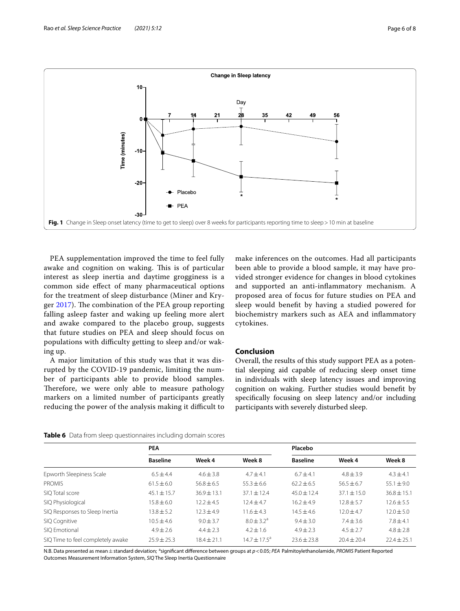



<span id="page-5-0"></span>PEA supplementation improved the time to feel fully awake and cognition on waking. This is of particular interest as sleep inertia and daytime grogginess is a common side efect of many pharmaceutical options for the treatment of sleep disturbance (Miner and Kryger  $2017$ ). The combination of the PEA group reporting falling asleep faster and waking up feeling more alert and awake compared to the placebo group, suggests that future studies on PEA and sleep should focus on populations with difficulty getting to sleep and/or waking up.

A major limitation of this study was that it was disrupted by the COVID-19 pandemic, limiting the number of participants able to provide blood samples. Therefore, we were only able to measure pathology markers on a limited number of participants greatly reducing the power of the analysis making it difficult to make inferences on the outcomes. Had all participants been able to provide a blood sample, it may have provided stronger evidence for changes in blood cytokines and supported an anti-infammatory mechanism. A proposed area of focus for future studies on PEA and sleep would beneft by having a studied powered for biochemistry markers such as AEA and infammatory cytokines.

# **Conclusion**

Overall, the results of this study support PEA as a potential sleeping aid capable of reducing sleep onset time in individuals with sleep latency issues and improving cognition on waking. Further studies would beneft by specifcally focusing on sleep latency and/or including participants with severely disturbed sleep.

<span id="page-5-1"></span>

| Table 6 Data from sleep questionnaires including domain scores |  |  |  |
|----------------------------------------------------------------|--|--|--|
|                                                                |  |  |  |

|                                   | <b>PEA</b>      |                 |                       | Placebo         |                 |                 |
|-----------------------------------|-----------------|-----------------|-----------------------|-----------------|-----------------|-----------------|
|                                   | <b>Baseline</b> | Week 4          | Week 8                | <b>Baseline</b> | Week 4          | Week 8          |
| Epworth Sleepiness Scale          | $6.5 \pm 4.4$   | $4.6 + 3.8$     | $4.7 + 4.1$           | $6.7 + 4.1$     | $4.8 + 3.9$     | $4.3 + 4.1$     |
| <b>PROMIS</b>                     | $61.5 \pm 6.0$  | $56.8 + 6.5$    | $55.3 + 6.6$          | $62.2 \pm 6.5$  | $56.5 \pm 6.7$  | $55.1 \pm 9.0$  |
| SIQ Total score                   | $45.1 \pm 15.7$ | $36.9 \pm 13.1$ | $37.1 \pm 12.4$       | $45.0 \pm 12.4$ | $37.1 \pm 15.0$ | $36.8 \pm 15.1$ |
| SIQ Physiological                 | $15.8 \pm 6.0$  | $12.2 + 4.5$    | $12.4 + 4.7$          | $16.2 + 4.9$    | $12.8 + 5.7$    | $12.6 \pm 5.5$  |
| SIQ Responses to Sleep Inertia    | $13.8 + 5.2$    | $12.3 + 4.9$    | $11.6 + 4.3$          | $14.5 + 4.6$    | $12.0 + 4.7$    | $12.0 + 5.0$    |
| SIQ Cognitive                     | $10.5 \pm 4.6$  | $9.0 \pm 3.7$   | $8.0 \pm 3.2^{\circ}$ | $9.4 \pm 3.0$   | $7.4 \pm 3.6$   | $7.8 \pm 4.1$   |
| SIO Emotional                     | $4.9 + 2.6$     | $4.4 + 2.3$     | $4.2 \pm 1.6$         | $4.9 + 2.3$     | $4.5 + 2.7$     | $4.8 + 2.8$     |
| SIQ Time to feel completely awake | $25.9 + 25.3$   | $18.4 + 21.1$   | $14.7 + 17.5^a$       | $23.6 + 23.8$   | $20.4 + 20.4$   | $22.4 + 25.1$   |

N.B. Data presented as mean±standard deviation; <sup>a</sup> signifcant diference between groups at *p*<0.05; *PEA* Palmitoylethanolamide, *PROMIS* Patient Reported Outcomes Measurement Information System, *SIQ* The Sleep Inertia Questionnaire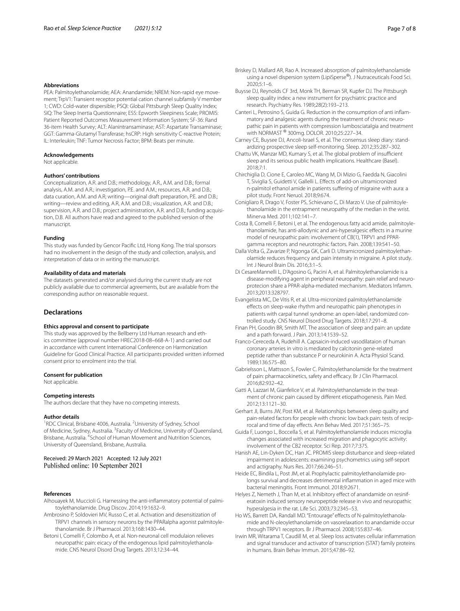#### **Abbreviations**

PEA: Palmitoylethanolamide; AEA: Anandamide; NREM: Non-rapid eye movement; TrpV1: Transient receptor potential cation channel subfamily V member 1; CWD: Cold-water dispersible; PSQI: Global Pittsburgh Sleep Quality Index; SIQ: The Sleep Inertia Questionnaire; ESS: Epworth Sleepiness Scale; PROMIS: Patient Reported Outcomes Measurement Information System; SF-36: Rand 36-item Health Survey; ALT: Alanintransaminase; AST: Aspartate Transaminase; GGT: Gamma-Glutamyl Transferase; hsCRP: High sensitivity C-reactive Protein; IL: Interleukin; TNF: Tumor Necrosis Factor; BPM: Beats per minute.

## **Acknowledgements**

Not applicable.

## **Authors' contributions**

Conceptualization, A.R. and D.B.; methodology, A.R., A.M. and D.B.; formal analysis, A.M. and A.R.; investigation, P.E. and A.M.; resources, A.R. and D.B.; data curation, A.M. and A.R; writing—original draft preparation, P.E. and D.B.; writing—review and editing, A.R, A.M. and D.B.; visualization, A.R. and D.B.; supervision, A.R. and D.B.; project administration, A.R. and D.B.; funding acquisition, D.B. All authors have read and agreed to the published version of the manuscript.

#### **Funding**

This study was funded by Gencor Pacifc Ltd, Hong Kong. The trial sponsors had no involvement in the design of the study and collection, analysis, and interpretation of data or in writing the manuscript.

### **Availability of data and materials**

The datasets generated and/or analysed during the current study are not publicly available due to commercial agreements, but are available from the corresponding author on reasonable request.

# **Declarations**

#### **Ethics approval and consent to participate**

This study was approved by the Bellberry Ltd Human research and ethics committee (approval number HREC2018-08–668-A-1) and carried out in accordance with current International Conference on Harmonization Guideline for Good Clinical Practice. All participants provided written informed consent prior to enrolment into the trial.

#### **Consent for publication**

Not applicable.

#### **Competing interests**

The authors declare that they have no competing interests.

#### **Author details**

<sup>1</sup>RDC Clinical, Brisbane 4006, Australia. <sup>2</sup>University of Sydney, School of Medicine, Sydney, Australia. <sup>3</sup> Faculty of Medicine, University of Queensland, Brisbane, Australia. <sup>4</sup>School of Human Movement and Nutrition Sciences, University of Queensland, Brisbane, Australia.

Received: 29 March 2021 Accepted: 12 July 2021 Published online: 10 September 2021

#### **References**

- <span id="page-6-0"></span>Alhouayek M, Muccioli G. Harnessing the anti-infammatory potential of palmitoylethanolamide. Drug Discov. 2014;19:1632–9.
- <span id="page-6-4"></span>Ambrosino P, Soldovieri MV, Russo C, et al. Activation and desensitization of TRPV1 channels in sensory neurons by the PPARalpha agonist palmitoylethanolamide. Br J Pharmacol. 2013;168:1430–44.
- Betoni I, Comelli F, Colombo A, et al. Non-neuronal cell modulaion relieves neuropathic pain: eicacy of the endogenous lipid palmitoylethanolamide. CNS Neurol Disord Drug Targets. 2013;12:34–44.
- <span id="page-6-1"></span>Briskey D, Mallard AR, Rao A. Increased absorption of palmitoylethanolamide using a novel dispersion system (LipiSperse®). J Nutraceuticals Food Sci. 2020;5:1–6.
- Buysse DJ, Reynolds CF 3rd, Monk TH, Berman SR, Kupfer DJ. The Pittsburgh sleep quality index: a new instrument for psychiatric practice and research. Psychiatry Res. 1989;28(2):193–213.
- Canteri L, Petrosino S, Guida G. Reduction in the consumption of anti infammatory and analgesic agents during the treatment of chronic neuropathic pain in patients with compression lumbosciatalgia and treatment with NORMAST ® 300mg. DOLOR. 2010;25:227–34.
- <span id="page-6-15"></span>Carney CE, Buysee DJ, Ancoli-Israel S, et al. The consensus sleep diary: standardizing prospective sleep self-monitoring. Sleep. 2012;35:287–302.
- Chattu VK, Manzar MD, Kumary S, et al. The global problem of insufficient sleep and its serious public health implications. Healthcare (Basel). 2018;7:1.
- <span id="page-6-11"></span>Chirchiglia D, Cione E, Caroleo MC, Wang M, Di Mizio G, Faedda N, Giacolini T, Siviglia S, Guidetti V, Gallelli L. Effects of add-on ultramicronized n-palmitol ethanol amide in patients sufering of migraine with aura: a pilot study. Front Neruol. 2018;9:674.
- <span id="page-6-12"></span>Conigliaro R, Drago V, Foster PS, Schievano C, Di Marzo V. Use of palmitoylethanolamide in the entrapment neuropathy of the median in the wrist. Minerva Med. 2011;102:141–7.
- <span id="page-6-18"></span>Costa B, Comelli F, Betoni I, et al. The endogenous fatty acid amide, palmitoylethanolamide, has anti-allodynic and ani-hyperalgesic efects in a murine model of neuropathic pain: involvement of CB(1), TRPV1 and PPARgamma receptors and neurotrophic factors. Pain. 2008;139:541–50.
- <span id="page-6-13"></span>Dalla Volta G, Zavarize P, Ngonga GK, Carli D. Ultramicronized palmitoylethanolamide reduces frequency and pain intensity in migraine. A pilot study. Int J Neurol Brain Dis. 2016;3:1–5.
- <span id="page-6-16"></span>Di CesareMannelli L, D'Agosino G, Pacini A, et al. Palmitoylethanolamide is a disease-modifying agent in peripheral neuropathy: pain relief and neuroprotecion share a PPAR-alpha-mediated mechanism. Mediators Infamm. 2013;2013:328797.
- <span id="page-6-10"></span>Evangelista MC, De Vitis R, et al. Ultra-micronized palmitoylethanolamide efects on sleep-wake rhythm and neuropathic pain phenotypes in patients with carpal tunnel syndrome: an open-label, randomized controlled study. CNS Neurol Disord Drug Targets. 2018;17:291–8.
- Finan PH, Goodin BR, Smith MT. The association of sleep and pain: an update and a path forward. J Pain. 2013;14:1539–52.
- <span id="page-6-14"></span>Franco-Cereceda A, Rudehill A. Capsaicin-induced vasodilataion of human coronary arteries in vitro is mediated by calcitonin gene-related peptide rather than substance P or neurokinin A. Acta Physiol Scand. 1989;136:575–80.
- Gabrielsson L, Mattsson S, Fowler C. Palmitoylethanolamide for the treatment of pain: pharmacokinetics, safety and efficacy. Br J Clin Pharmacol. 2016;82:932–42.
- <span id="page-6-5"></span>Gatti A, Lazzari M, Gianfelice V, et al. Palmitoylethanolamide in the treatment of chronic pain caused by diferent etiopathogenesis. Pain Med. 2012;13:1121–30.
- <span id="page-6-6"></span>Gerhart JI, Burns JW, Post KM, et al. Relationships between sleep quality and pain-related factors for people with chronic low back pain: tests of reciprocal and time of day effects. Ann Behav Med. 2017;51:365-75.
- <span id="page-6-7"></span>Guida F, Luongo L, Boccella S, et al. Palmitoylethanolamide induces microglia changes associated with increased migration and phagocytic activity: involvement of the CB2 receptor. Sci Rep. 2017;7:375.
- <span id="page-6-8"></span>Hanish AE, Lin-Dyken DC, Han JC. PROMIS sleep disturbance and sleep-related impairment in adolescents: examining psychometrics using self-seport and actigraphy. Nurs Res. 2017;66:246–51.
- <span id="page-6-9"></span>Heide EC, Bindila L, Post JM, et al. Prophylactic palmitoylethanolamide prolongs survival and decreases detrimental infammation in aged mice with bacterial meningitis. Front Immunol. 2018;9:2671.
- <span id="page-6-17"></span>Helyes Z, Nemeth J, Than M, et al. Inhibitory effect of anandamide on resiniferatoxin induced sensory neuropeptide release in vivo and neuropathic hyperalgesia in the rat. Life Sci. 2003;73:2345–53.
- <span id="page-6-3"></span>Ho WS, Barrett DA, Randall MD. "Entourage" efects of N-palmitoylethanolamide and N-oleoylethanolamide on vasorelaxation to anandamide occur through TRPV1 receptors. Br J Pharmacol. 2008;155:837–46.
- <span id="page-6-2"></span>Irwin MR, Witarama T, Caudill M, et al. Sleep loss activates cellular infammation and signal transducer and activator of transcription (STAT) family proteins in humans. Brain Behav Immun. 2015;47:86–92.